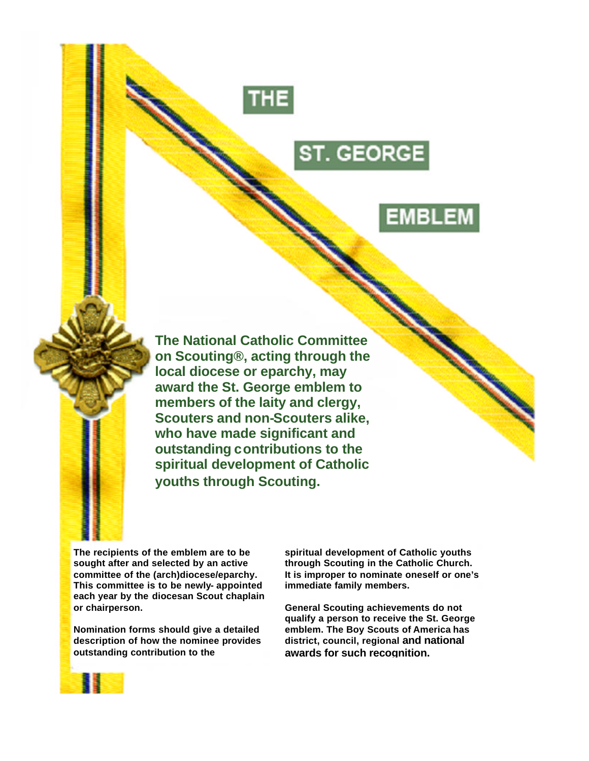

# ST. GEORGE

# EMBLEM

**The National Catholic Committee on Scouting®, acting through the local diocese or eparchy, may award the St. George emblem to members of the laity and clergy, Scouters and non-Scouters alike, who have made significant and outstanding contributions to the spiritual development of Catholic youths through Scouting.**

**The recipients of the emblem are to be sought after and selected by an active committee of the (arch)diocese/eparchy. This committee is to be newly- appointed each year by the diocesan Scout chaplain or chairperson.**

**Nomination forms should give a detailed description of how the nominee provides outstanding contribution to the**

**spiritual development of Catholic youths through Scouting in the Catholic Church. It is improper to nominate oneself or one's immediate family members.**

**General Scouting achievements do not qualify a person to receive the St. George emblem. The Boy Scouts of America has district, council, regional and national awards for such recognition.**

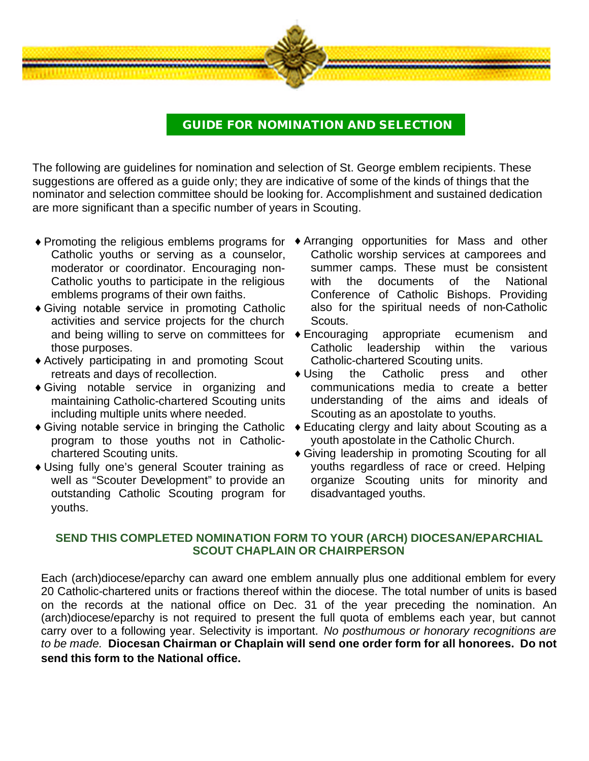

### **GUIDE FOR NOMINATION AND SELECTION**

The following are guidelines for nomination and selection of St. George emblem recipients. These suggestions are offered as a guide only; they are indicative of some of the kinds of things that the nominator and selection committee should be looking for. Accomplishment and sustained dedication are more significant than a specific number of years in Scouting.

- Catholic youths or serving as a counselor, moderator or coordinator. Encouraging non-Catholic youths to participate in the religious emblems programs of their own faiths.
- ♦ Giving notable service in promoting Catholic activities and service projects for the church and being willing to serve on committees for  $\bullet$  Encouraging those purposes.
- ♦ Actively participating in and promoting Scout retreats and days of recollection.
- ♦ Giving notable service in organizing and maintaining Catholic-chartered Scouting units including multiple units where needed.
- program to those youths not in Catholicchartered Scouting units.
- ♦ Using fully one's general Scouter training as well as "Scouter Development" to provide an outstanding Catholic Scouting program for youths.
- ♦ Promoting the religious emblems programs for ♦ Arranging opportunities for Mass and other Catholic worship services at camporees and summer camps. These must be consistent with the documents of the National Conference of Catholic Bishops. Providing also for the spiritual needs of non-Catholic Scouts.
	- appropriate ecumenism and Catholic leadership within the various Catholic-chartered Scouting units.
	- Using the Catholic press and other communications media to create a better understanding of the aims and ideals of Scouting as an apostolate to youths.
- ♦ Giving notable service in bringing the Catholic ♦ Educating clergy and laity about Scouting as a youth apostolate in the Catholic Church.
	- ♦ Giving leadership in promoting Scouting for all youths regardless of race or creed. Helping organize Scouting units for minority and disadvantaged youths.

#### **SEND THIS COMPLETED NOMINATION FORM TO YOUR (ARCH) DIOCESAN/EPARCHIAL SCOUT CHAPLAIN OR CHAIRPERSON**

Each (arch)diocese/eparchy can award one emblem annually plus one additional emblem for every 20 Catholic-chartered units or fractions thereof within the diocese. The total number of units is based on the records at the national office on Dec. 31 of the year preceding the nomination. An (arch)diocese/eparchy is not required to present the full quota of emblems each year, but cannot carry over to a following year. Selectivity is important. *No posthumous or honorary recognitions are to be made.* **Diocesan Chairman or Chaplain will send one order form for all honorees. Do not send this form to the National office.**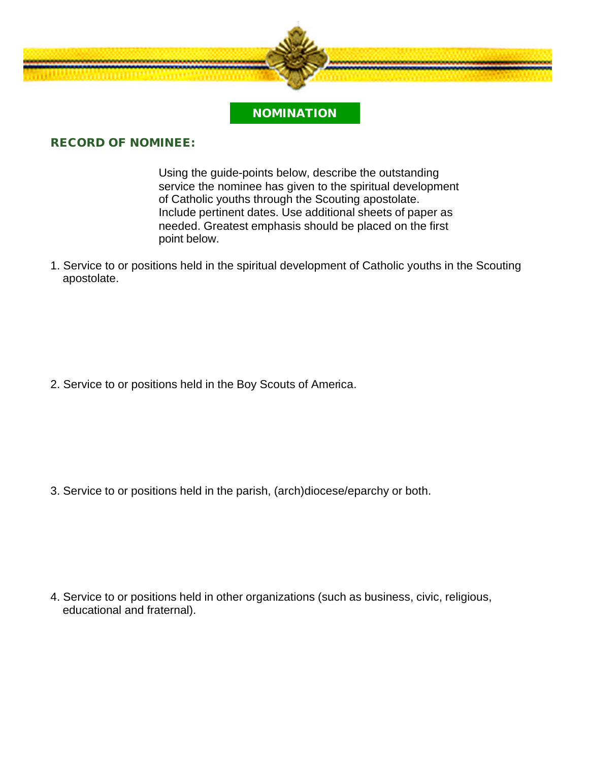

### **NOMINATION**

#### **RECORD OF NOMINEE:**

Using the guide-points below, describe the outstanding service the nominee has given to the spiritual development of Catholic youths through the Scouting apostolate. Include pertinent dates. Use additional sheets of paper as needed. Greatest emphasis should be placed on the first point below.

1. Service to or positions held in the spiritual development of Catholic youths in the Scouting apostolate.

2. Service to or positions held in the Boy Scouts of America.

3. Service to or positions held in the parish, (arch)diocese/eparchy or both.

4. Service to or positions held in other organizations (such as business, civic, religious, educational and fraternal).